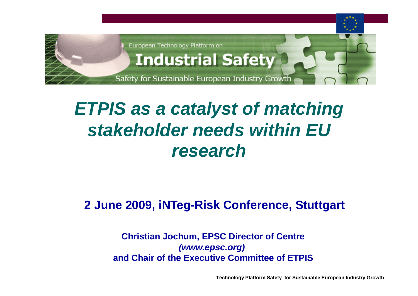

# *ETPIS as <sup>a</sup> catalyst of matching stakeholder needs within EU research*

#### **2 June 2009, iNTeg-Risk Conference, Stuttgart**

#### **Christian Jochum, EPSC Director of Centre** *(www epsc org) (www.epsc.org)***and Chair of the Executive Committee of ETPIS**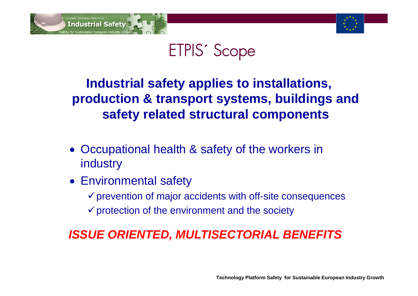



# ETPIS´ Scope

### Industrial safety applies to installations, **production & transport systems, buildings and safety related structural components**

- Occupational health & safety of the workers in industry
- Environmental safety
	- $\checkmark$  prevention of major accidents with off-site consequences
	- $\checkmark$  protection of the environment and the society

#### *ISSUE ORIENTED, MULTISECTORIAL BENEFITS*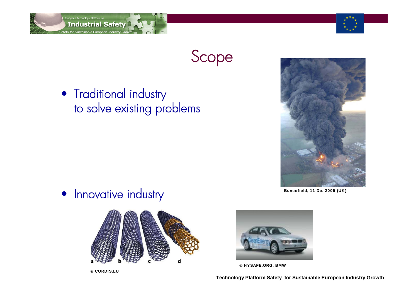

### Scope

• Traditional industry to solve existing problems



• Innovative industry Buncefield, 11 De. 2005 (UK)



© CORDIS.LU



© HYSAFE.ORG, BMW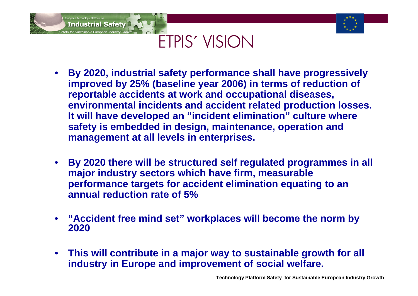



# ETPIS´ VISION

- • **By 2020, industrial safety performance shall have progressively**  improved by 25% (baseline year 2006) in terms of reduction of **reportable accidents at work and occupational diseases, environmental incidents and accident related production losses. It will have developed an "incident elimination" culture where culture safety is embedded in design, maintenance, operation and management at all levels in enterprises.**
- $\bullet$  **By 2020 there will be structured self regulated programmes in all major industry sectors which have firm, measurable**  performance targets for accident elimination equating to an **annual reduction rate of 5%**
- •• "Accident free mind set" workplaces will become the norm by **2020**
- $\bullet$  **This will contribute in a major way to sustainable growth for all industry in Europe and improvement of social welfare.**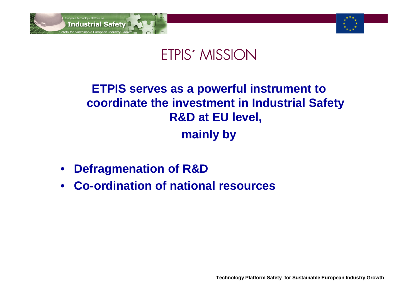



### ETPIS´ MISSION

### **ETPIS serves as a powerful instrument to coordinate the investment in Industrial Safety R&D at EU l l eve , mainly by**

- $\bullet$ **Defragmenation of R&D**
- **Co-ordination of national resources**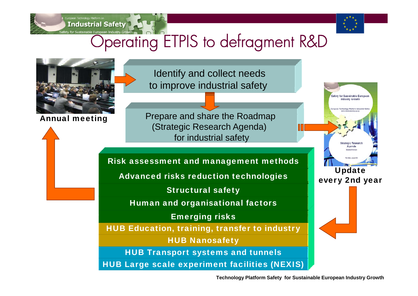



#### ty for Sustainable European Industry Grow **Operating ETPIS to defragment R&D**

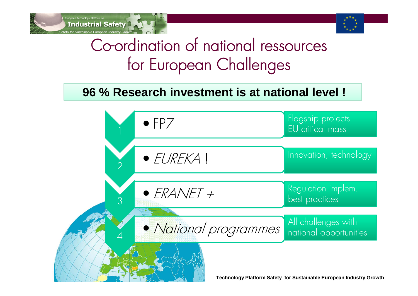



## Co-ordination of national ressources for European Challenges

#### **96 % Research investment is at national level !**

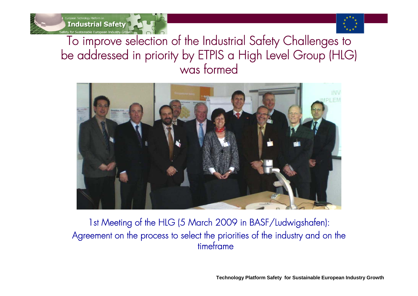

**Industrial Safety** v for Sustainable European Industry Gro

To improve selection of the Industrial Safety Challenges to be addressed in priority by ETPIS a High Level Group (HLG) was formed



1st Meeting of the HLG (5 March 2009 in BASF/Ludwigshafen): Agreement on the process to select the priorities of the industry and on the timeframe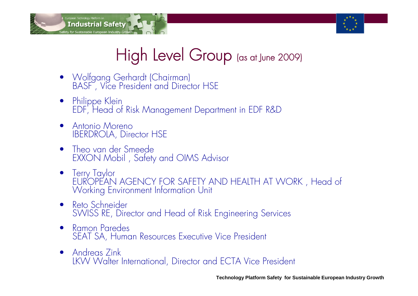



# High Level Group (as at June 2009)

- Wolfgang Gerhardt (Chairman)<br>BASF , Vice President and Director HSE
- Philippe Klein EDF, Head of Risk Management Department in EDF R&D
- $\bullet$  Antonio Moreno IBERDROLA, Director HSE
- Theo van der Smeede EXXON Mobil , Safety and OIMS Advisor
- Terry Taylor EUR'OPEAN AGENCY FOR SAFETY AND HEALTH AT WORK, Head of Working Environment Information Unit
- Reto Schneider SWISS RE, Director and Head of Risk Engineering Services
- $\bullet$  Ramon Paredes SEAT SA, Human Resources Executive Vice President
- Andreas Zink LKW Walter International, Director and ECTA Vice President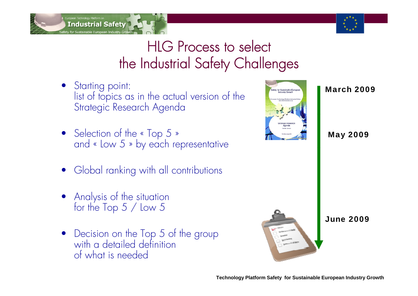



### HLG Process to select the Industrial Safety Challenges

- Starting point: Starting point:<br>list of topics as in the actual version of the Strategic Research Agenda
- Selection of the « Top 5 » Selection of the «  $I$ op 5 » and «  $I$ ow 5 » by each representative May 2009 y parts of  $\mathbb{R}$
- •Global ranking with all contributions
- Analysis of the situation<br>for the Top 5 / Low 5
- •Decision on the Top 5 of the group with a detailed definition of what is needed







June 2009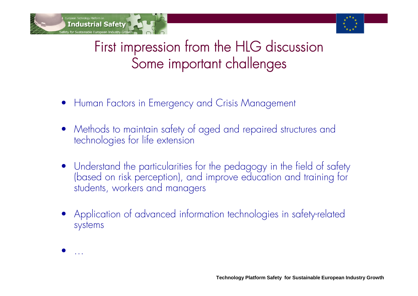



### First impression from the HLG discussion Some important challenges

- Human Factors in Emergency and Crisis Management
- $\bullet$ Methods to maintain safety of aged and repaired structures and technologies for life extension
- Understand the particularities for the pedagogy in the field of safety (based on risk perception), and improve education and training for<br>students, workers and managers
- Application of advanced information technologies in safety-related systems

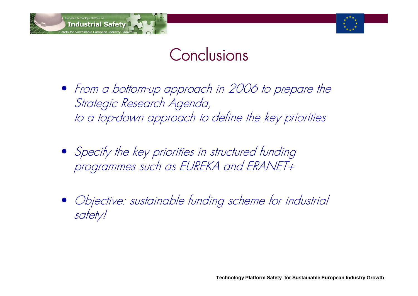



# Conclusions

- From a bottom-up approach in 2006 to prepare the Strategic Research Agenda, to a top-down approach to define the key priorities
- Specify the key priorities in structured funding programmes such as EUREKA and ERANET+
- Objective: sustainable funding scheme for industrial safety!